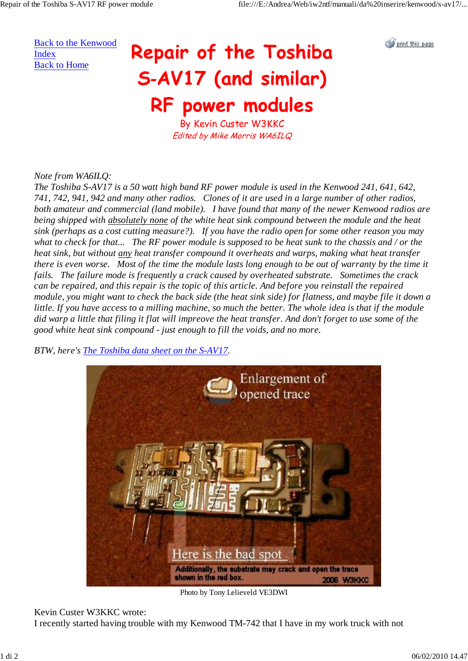Back to the Kenwood Index Back to Home

## Repair of the Toshiba S-AV17 (and similar) RF power modules



By Kevin Custer W3KKC Edited by Mike Morris WA6ILQ

## *Note from WA6ILQ:*

*The Toshiba S-AV17 is a 50 watt high band RF power module is used in the Kenwood 241, 641, 642, 741, 742, 941, 942 and many other radios. Clones of it are used in a large number of other radios, both amateur and commercial (land mobile). I have found that many of the newer Kenwood radios are being shipped with absolutely none of the white heat sink compound between the module and the heat sink (perhaps as a cost cutting measure?). If you have the radio open for some other reason you may what to check for that... The RF power module is supposed to be heat sunk to the chassis and / or the heat sink, but without any heat transfer compound it overheats and warps, making what heat transfer there is even worse. Most of the time the module lasts long enough to be out of warranty by the time it fails. The failure mode is frequently a crack caused by overheated substrate. Sometimes the crack can be repaired, and this repair is the topic of this article. And before you reinstall the repaired module, you might want to check the back side (the heat sink side) for flatness, and maybe file it down a little. If you have access to a milling machine, so much the better. The whole idea is that if the module did warp a little that filing it flat will impreove the heat transfer. And don't forget to use some of the good white heat sink compound - just enough to fill the voids, and no more.*

*BTW, here's The Toshiba data sheet on the S-AV17.*



Photo by Tony Lelieveld VE3DWI

## Kevin Custer W3KKC wrote:

I recently started having trouble with my Kenwood TM-742 that I have in my work truck with not